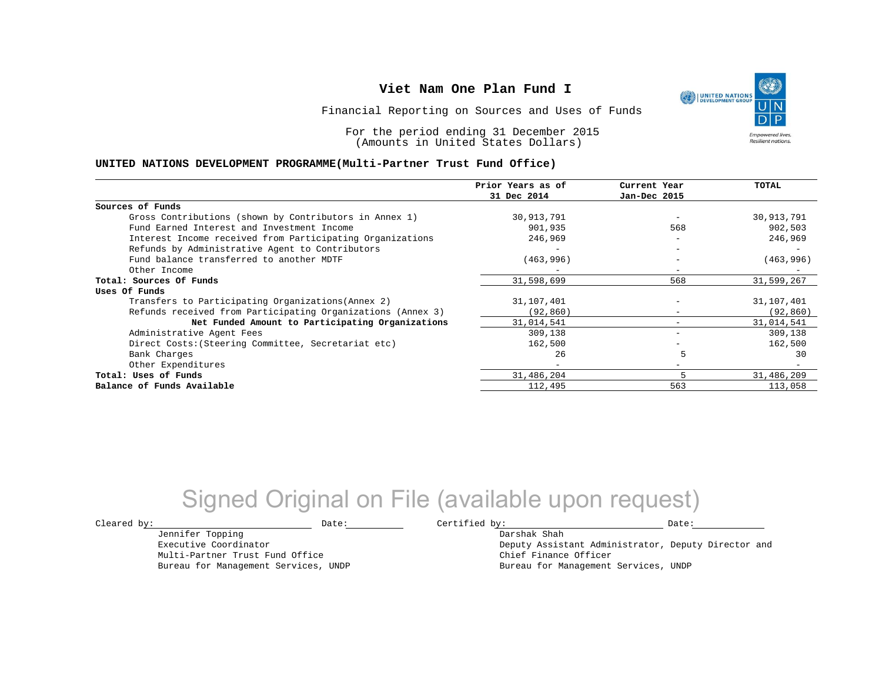Financial Reporting on Sources and Uses of Funds

For the period ending 31 December 2015 (Amounts in United States Dollars)

### **UNITED NATIONS DEVELOPMENT PROGRAMME(Multi-Partner Trust Fund Office)**

|                                                             | Prior Years as of<br>31 Dec 2014 | Current Year<br>Jan-Dec 2015 | <b>TOTAL</b> |
|-------------------------------------------------------------|----------------------------------|------------------------------|--------------|
|                                                             |                                  |                              |              |
| Sources of Funds                                            |                                  |                              |              |
| Gross Contributions (shown by Contributors in Annex 1)      | 30,913,791                       |                              | 30,913,791   |
| Fund Earned Interest and Investment Income                  | 901,935                          | 568                          | 902,503      |
| Interest Income received from Participating Organizations   | 246,969                          | $-$                          | 246,969      |
| Refunds by Administrative Agent to Contributors             | $\overline{\phantom{m}}$         | $-$                          |              |
| Fund balance transferred to another MDTF                    | (463,996)                        | -                            | (463,996)    |
| Other Income                                                |                                  | -                            |              |
| Total: Sources Of Funds                                     | 31,598,699                       | 568                          | 31,599,267   |
| Uses Of Funds                                               |                                  |                              |              |
| Transfers to Participating Organizations (Annex 2)          | 31,107,401                       |                              | 31,107,401   |
| Refunds received from Participating Organizations (Annex 3) | (92, 860)                        | $\qquad \qquad -$            | (92, 860)    |
| Net Funded Amount to Participating Organizations            | 31,014,541                       |                              | 31,014,541   |
| Administrative Agent Fees                                   | 309,138                          | -                            | 309,138      |
| Direct Costs: (Steering Committee, Secretariat etc)         | 162,500                          |                              | 162,500      |
| Bank Charges                                                | 26                               |                              | 30           |
| Other Expenditures                                          | $\overline{\phantom{0}}$         | $-$                          |              |
| Total: Uses of Funds                                        | 31,486,204                       |                              | 31,486,209   |
| Balance of Funds Available                                  | 112,495                          | 563                          | 113,058      |

## Signed Original on File (available upon request)

Jennifer Topping Executive Coordinator Multi-Partner Trust Fund Office Bureau for Management Services, UNDP

 $\texttt{Cleared by:}\footnotesize \begin{minipage}{0.9\linewidth} \texttt{Date:}\footnotesize \begin{minipage}{0.9\linewidth} \texttt{Date:}\footnotesize \begin{minipage}{0.9\linewidth} \end{minipage} \end{minipage}$ Darshak Shah

Deputy Assistant Administrator, Deputy Director and Chief Finance Officer Bureau for Management Services, UNDP

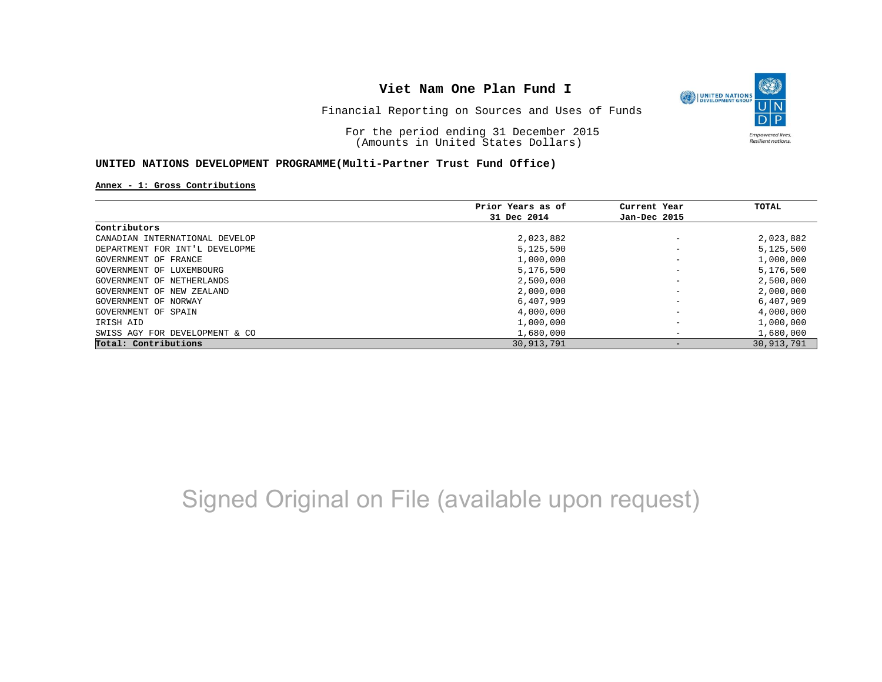

Financial Reporting on Sources and Uses of Funds

For the period ending 31 December 2015 (Amounts in United States Dollars)

### **UNITED NATIONS DEVELOPMENT PROGRAMME(Multi-Partner Trust Fund Office)**

#### **Annex - 1: Gross Contributions**

|                                | Prior Years as of | Current Year             | TOTAL      |
|--------------------------------|-------------------|--------------------------|------------|
|                                | 31 Dec 2014       | Jan-Dec 2015             |            |
| Contributors                   |                   |                          |            |
| CANADIAN INTERNATIONAL DEVELOP | 2,023,882         |                          | 2,023,882  |
| DEPARTMENT FOR INT'L DEVELOPME | 5,125,500         | $\qquad \qquad$          | 5,125,500  |
| GOVERNMENT OF FRANCE           | 1,000,000         | $\qquad \qquad$          | 1,000,000  |
| GOVERNMENT OF LUXEMBOURG       | 5,176,500         |                          | 5,176,500  |
| GOVERNMENT OF NETHERLANDS      | 2,500,000         |                          | 2,500,000  |
| GOVERNMENT OF NEW ZEALAND      | 2,000,000         |                          | 2,000,000  |
| GOVERNMENT OF NORWAY           | 6,407,909         |                          | 6,407,909  |
| GOVERNMENT OF SPAIN            | 4,000,000         |                          | 4,000,000  |
| IRISH AID                      | 1,000,000         | $\overline{\phantom{m}}$ | 1,000,000  |
| SWISS AGY FOR DEVELOPMENT & CO | 1,680,000         | $\overline{\phantom{m}}$ | 1,680,000  |
| Total: Contributions           | 30,913,791        |                          | 30,913,791 |

## Signed Original on File (available upon request)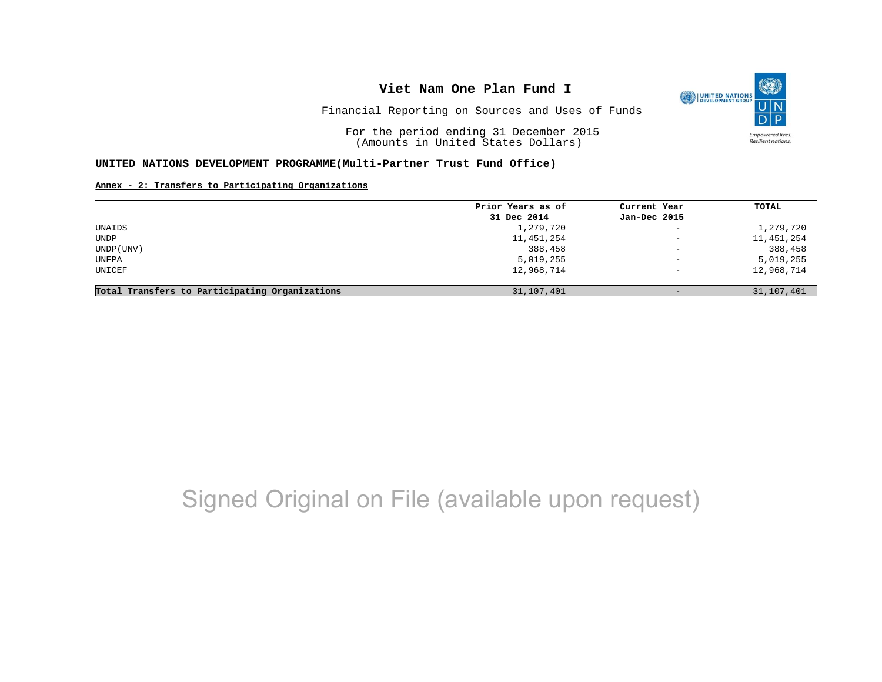

Financial Reporting on Sources and Uses of Funds

For the period ending 31 December 2015 (Amounts in United States Dollars)

#### **UNITED NATIONS DEVELOPMENT PROGRAMME(Multi-Partner Trust Fund Office)**

#### **Annex - 2: Transfers to Participating Organizations**

|                                                | Prior Years as of | Current Year             | TOTAL      |
|------------------------------------------------|-------------------|--------------------------|------------|
|                                                | 31 Dec 2014       | Jan-Dec 2015             |            |
| UNAIDS                                         | 1,279,720         | $\overline{\phantom{a}}$ | 1,279,720  |
| UNDP                                           | 11,451,254        | $\qquad \qquad -$        | 11,451,254 |
| UNDP (UNV)                                     | 388,458           | $\overline{\phantom{m}}$ | 388,458    |
| UNFPA                                          | 5,019,255         | $\qquad \qquad -$        | 5,019,255  |
| UNICEF                                         | 12,968,714        | $\overline{\phantom{0}}$ | 12,968,714 |
| Total Transfers to Participating Organizations | 31,107,401        | $-$                      | 31,107,401 |

# Signed Original on File (available upon request)